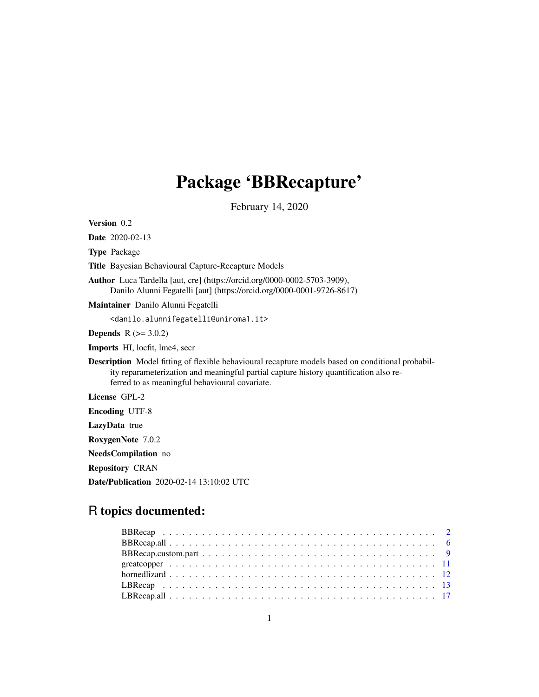# Package 'BBRecapture'

February 14, 2020

Version 0.2

Date 2020-02-13

Type Package

Title Bayesian Behavioural Capture-Recapture Models

Author Luca Tardella [aut, cre] (https://orcid.org/0000-0002-5703-3909), Danilo Alunni Fegatelli [aut] (https://orcid.org/0000-0001-9726-8617)

Maintainer Danilo Alunni Fegatelli

<danilo.alunnifegatelli@uniroma1.it>

**Depends**  $R$  ( $>= 3.0.2$ )

Imports HI, locfit, lme4, secr

Description Model fitting of flexible behavioural recapture models based on conditional probability reparameterization and meaningful partial capture history quantification also referred to as meaningful behavioural covariate.

License GPL-2

Encoding UTF-8

LazyData true

RoxygenNote 7.0.2

NeedsCompilation no

Repository CRAN

Date/Publication 2020-02-14 13:10:02 UTC

# R topics documented: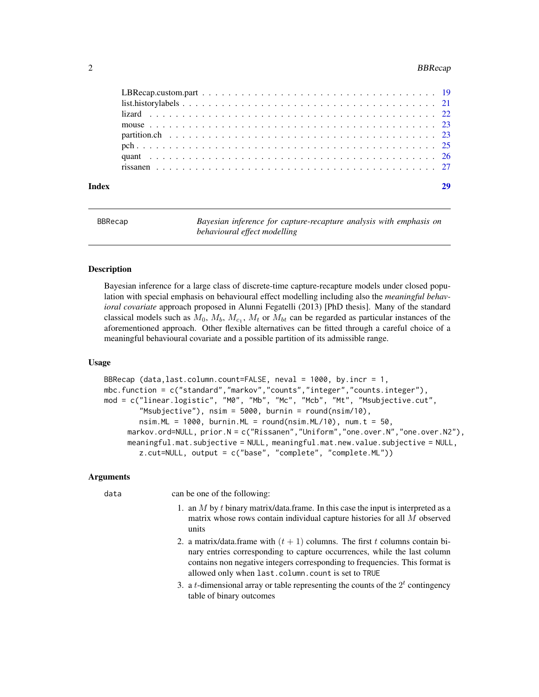#### <span id="page-1-0"></span>2 BBRecap and the state of the state of the state of the state of the BBRecap state of the BBRecap state of the state of the state of the state of the state of the state of the state of the state of the state of the state

<span id="page-1-1"></span>

| <b>BBRecap</b> | Bayesian inference for capture-recapture analysis with emphasis on |
|----------------|--------------------------------------------------------------------|
|                | behavioural effect modelling                                       |

# Description

Bayesian inference for a large class of discrete-time capture-recapture models under closed population with special emphasis on behavioural effect modelling including also the *meaningful behavioral covariate* approach proposed in Alunni Fegatelli (2013) [PhD thesis]. Many of the standard classical models such as  $M_0$ ,  $M_b$ ,  $M_{c_1}$ ,  $M_t$  or  $M_{bt}$  can be regarded as particular instances of the aforementioned approach. Other flexible alternatives can be fitted through a careful choice of a meaningful behavioural covariate and a possible partition of its admissible range.

# Usage

```
BBRecap (data,last.column.count=FALSE, neval = 1000, by.incr = 1,
mbc.function = c("standard","markov","counts","integer","counts.integer"),
mod = c("linear.logistic", "M0", "Mb", "Mc", "Mcb", "Mt", "Msubjective.cut",
        "Msubjective"), nsim = 5000, burnin = round(nsim/10),
        nsim.ML = 1000, burnin.ML = round(nsim.ML/10), num.t = 50,
     markov.ord=NULL, prior.N = c("Rissanen","Uniform","one.over.N","one.over.N2"),
     meaningful.mat.subjective = NULL, meaningful.mat.new.value.subjective = NULL,
        z.cut=NULL, output = c("base", "complete", "complete.ML"))
```
#### Arguments

data can be one of the following:

- 1. an  $M$  by  $t$  binary matrix/data.frame. In this case the input is interpreted as a matrix whose rows contain individual capture histories for all M observed units
- 2. a matrix/data.frame with  $(t + 1)$  columns. The first t columns contain binary entries corresponding to capture occurrences, while the last column contains non negative integers corresponding to frequencies. This format is allowed only when last.column.count is set to TRUE
- 3. a *t*-dimensional array or table representing the counts of the  $2<sup>t</sup>$  contingency table of binary outcomes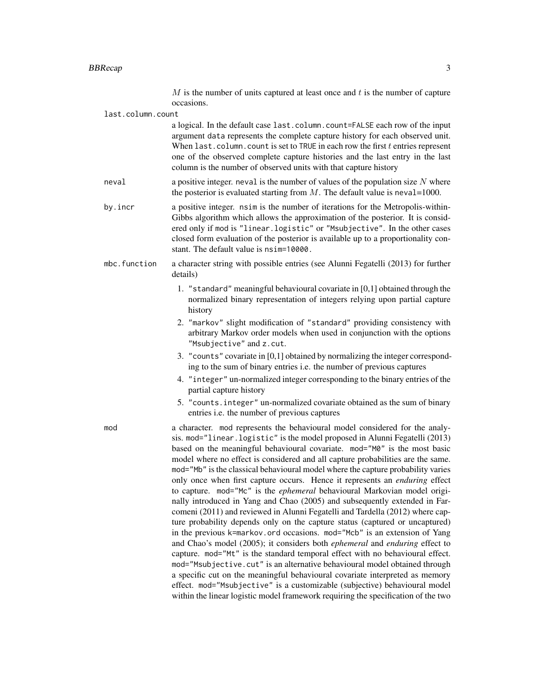$M$  is the number of units captured at least once and  $t$  is the number of capture occasions.

last.column.count

a logical. In the default case last.column.count=FALSE each row of the input argument data represents the complete capture history for each observed unit. When last.column.count is set to TRUE in each row the first  $t$  entries represent one of the observed complete capture histories and the last entry in the last column is the number of observed units with that capture history

- neval a positive integer. neval is the number of values of the population size  $N$  where the posterior is evaluated starting from  $M$ . The default value is neval=1000.
- by.incr a positive integer. nsim is the number of iterations for the Metropolis-within-Gibbs algorithm which allows the approximation of the posterior. It is considered only if mod is "linear.logistic" or "Msubjective". In the other cases closed form evaluation of the posterior is available up to a proportionality constant. The default value is nsim=10000.
- mbc.function a character string with possible entries (see Alunni Fegatelli (2013) for further details)
	- 1. "standard" meaningful behavioural covariate in [0,1] obtained through the normalized binary representation of integers relying upon partial capture history
	- 2. "markov" slight modification of "standard" providing consistency with arbitrary Markov order models when used in conjunction with the options "Msubjective" and z.cut.
	- 3. "counts" covariate in [0,1] obtained by normalizing the integer corresponding to the sum of binary entries i.e. the number of previous captures
	- 4. "integer" un-normalized integer corresponding to the binary entries of the partial capture history
	- 5. "counts.integer" un-normalized covariate obtained as the sum of binary entries i.e. the number of previous captures

mod a character. mod represents the behavioural model considered for the analysis. mod="linear.logistic" is the model proposed in Alunni Fegatelli (2013) based on the meaningful behavioural covariate. mod="M0" is the most basic model where no effect is considered and all capture probabilities are the same. mod="Mb" is the classical behavioural model where the capture probability varies only once when first capture occurs. Hence it represents an *enduring* effect to capture. mod="Mc" is the *ephemeral* behavioural Markovian model originally introduced in Yang and Chao (2005) and subsequently extended in Farcomeni (2011) and reviewed in Alunni Fegatelli and Tardella (2012) where capture probability depends only on the capture status (captured or uncaptured) in the previous k=markov.ord occasions. mod="Mcb" is an extension of Yang and Chao's model (2005); it considers both *ephemeral* and *enduring* effect to capture. mod="Mt" is the standard temporal effect with no behavioural effect. mod="Msubjective.cut" is an alternative behavioural model obtained through a specific cut on the meaningful behavioural covariate interpreted as memory effect. mod="Msubjective" is a customizable (subjective) behavioural model within the linear logistic model framework requiring the specification of the two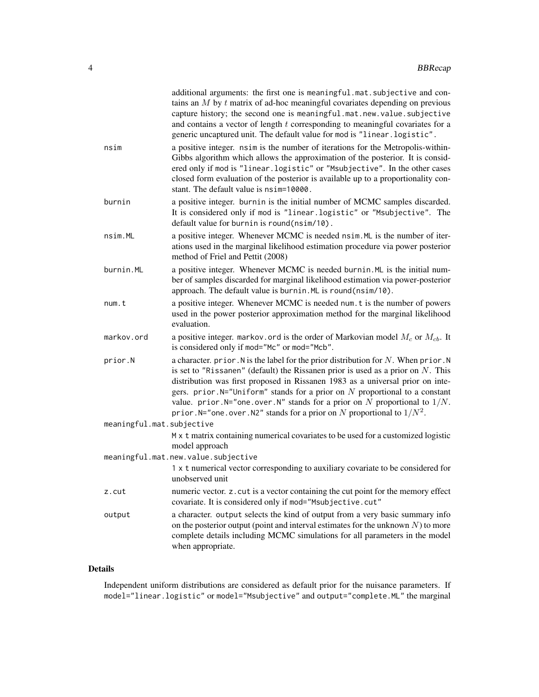|                           | additional arguments: the first one is meaningful.mat.subjective and con-<br>tains an $M$ by $t$ matrix of ad-hoc meaningful covariates depending on previous<br>capture history; the second one is meaningful.mat.new.value.subjective<br>and contains a vector of length $t$ corresponding to meaningful covariates for a<br>generic uncaptured unit. The default value for mod is "linear.logistic".                                                                                                         |
|---------------------------|-----------------------------------------------------------------------------------------------------------------------------------------------------------------------------------------------------------------------------------------------------------------------------------------------------------------------------------------------------------------------------------------------------------------------------------------------------------------------------------------------------------------|
| nsim                      | a positive integer. nsim is the number of iterations for the Metropolis-within-<br>Gibbs algorithm which allows the approximation of the posterior. It is consid-<br>ered only if mod is "linear.logistic" or "Msubjective". In the other cases<br>closed form evaluation of the posterior is available up to a proportionality con-<br>stant. The default value is nsim=10000.                                                                                                                                 |
| burnin                    | a positive integer. burnin is the initial number of MCMC samples discarded.<br>It is considered only if mod is "linear.logistic" or "Msubjective". The<br>default value for burnin is round(nsim/10).                                                                                                                                                                                                                                                                                                           |
| nsim.ML                   | a positive integer. Whenever MCMC is needed nsim. ML is the number of iter-<br>ations used in the marginal likelihood estimation procedure via power posterior<br>method of Friel and Pettit (2008)                                                                                                                                                                                                                                                                                                             |
| burnin.ML                 | a positive integer. Whenever MCMC is needed burnin. ML is the initial num-<br>ber of samples discarded for marginal likelihood estimation via power-posterior<br>approach. The default value is burnin. ML is round(nsim/10).                                                                                                                                                                                                                                                                                   |
| num.t                     | a positive integer. Whenever MCMC is needed num. t is the number of powers<br>used in the power posterior approximation method for the marginal likelihood<br>evaluation.                                                                                                                                                                                                                                                                                                                                       |
| markov.ord                | a positive integer. markov. ord is the order of Markovian model $M_c$ or $M_{cb}$ . It<br>is considered only if mod="Mc" or mod="Mcb".                                                                                                                                                                                                                                                                                                                                                                          |
| prior.N                   | a character. prior. N is the label for the prior distribution for $N$ . When prior. N<br>is set to "Rissanen" (default) the Rissanen prior is used as a prior on $N$ . This<br>distribution was first proposed in Rissanen 1983 as a universal prior on inte-<br>gers. prior. $N=$ "Uniform" stands for a prior on N proportional to a constant<br>value. prior. N="one. over. N" stands for a prior on N proportional to $1/N$ .<br>prior. N="one. over. N2" stands for a prior on N proportional to $1/N^2$ . |
| meaningful.mat.subjective | M x t matrix containing numerical covariates to be used for a customized logistic                                                                                                                                                                                                                                                                                                                                                                                                                               |
|                           | model approach<br>meaningful.mat.new.value.subjective                                                                                                                                                                                                                                                                                                                                                                                                                                                           |
|                           | 1 x t numerical vector corresponding to auxiliary covariate to be considered for<br>unobserved unit                                                                                                                                                                                                                                                                                                                                                                                                             |
| z.cut                     | numeric vector. z. cut is a vector containing the cut point for the memory effect<br>covariate. It is considered only if mod="Msubjective.cut"                                                                                                                                                                                                                                                                                                                                                                  |
| output                    | a character. output selects the kind of output from a very basic summary info<br>on the posterior output (point and interval estimates for the unknown $N$ ) to more<br>complete details including MCMC simulations for all parameters in the model<br>when appropriate.                                                                                                                                                                                                                                        |
|                           |                                                                                                                                                                                                                                                                                                                                                                                                                                                                                                                 |

# Details

Independent uniform distributions are considered as default prior for the nuisance parameters. If model="linear.logistic" or model="Msubjective" and output="complete.ML" the marginal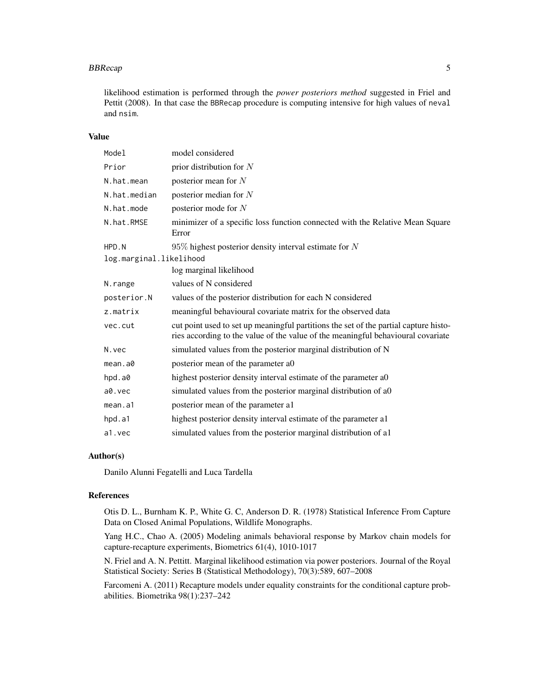#### BBRecap 55

likelihood estimation is performed through the *power posteriors method* suggested in Friel and Pettit (2008). In that case the BBRecap procedure is computing intensive for high values of neval and nsim.

# Value

| Model                   | model considered                                                                                                                                                         |
|-------------------------|--------------------------------------------------------------------------------------------------------------------------------------------------------------------------|
| Prior                   | prior distribution for $N$                                                                                                                                               |
| N.hat.mean              | posterior mean for $N$                                                                                                                                                   |
| N.hat.median            | posterior median for $N$                                                                                                                                                 |
| N.hat.mode              | posterior mode for $N$                                                                                                                                                   |
| N.hat.RMSE              | minimizer of a specific loss function connected with the Relative Mean Square<br>Error                                                                                   |
| HPD.N                   | $95\%$ highest posterior density interval estimate for N                                                                                                                 |
| log.marginal.likelihood |                                                                                                                                                                          |
|                         | log marginal likelihood                                                                                                                                                  |
| N.range                 | values of N considered                                                                                                                                                   |
| posterior.N             | values of the posterior distribution for each N considered                                                                                                               |
| z.matrix                | meaningful behavioural covariate matrix for the observed data                                                                                                            |
| vec.cut                 | cut point used to set up meaningful partitions the set of the partial capture histo-<br>ries according to the value of the value of the meaningful behavioural covariate |
| N. vec                  | simulated values from the posterior marginal distribution of N                                                                                                           |
| mean.a0                 | posterior mean of the parameter a0                                                                                                                                       |
| hpd.a0                  | highest posterior density interval estimate of the parameter a0                                                                                                          |
| a0.vec                  | simulated values from the posterior marginal distribution of a0                                                                                                          |
| mean.a1                 | posterior mean of the parameter al                                                                                                                                       |
| hpd.a1                  | highest posterior density interval estimate of the parameter all                                                                                                         |
| a1.vec                  | simulated values from the posterior marginal distribution of all                                                                                                         |

# Author(s)

Danilo Alunni Fegatelli and Luca Tardella

# References

Otis D. L., Burnham K. P., White G. C, Anderson D. R. (1978) Statistical Inference From Capture Data on Closed Animal Populations, Wildlife Monographs.

Yang H.C., Chao A. (2005) Modeling animals behavioral response by Markov chain models for capture-recapture experiments, Biometrics 61(4), 1010-1017

N. Friel and A. N. Pettitt. Marginal likelihood estimation via power posteriors. Journal of the Royal Statistical Society: Series B (Statistical Methodology), 70(3):589, 607–2008

Farcomeni A. (2011) Recapture models under equality constraints for the conditional capture probabilities. Biometrika 98(1):237–242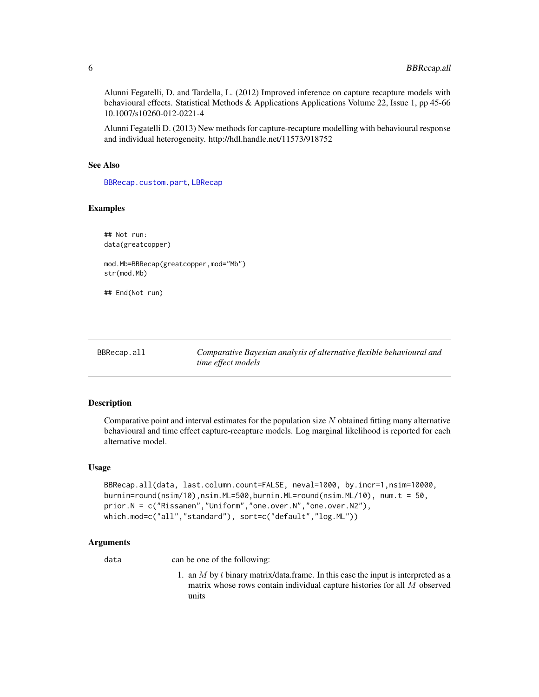<span id="page-5-0"></span>Alunni Fegatelli, D. and Tardella, L. (2012) Improved inference on capture recapture models with behavioural effects. Statistical Methods & Applications Applications Volume 22, Issue 1, pp 45-66 10.1007/s10260-012-0221-4

Alunni Fegatelli D. (2013) New methods for capture-recapture modelling with behavioural response and individual heterogeneity. http://hdl.handle.net/11573/918752

#### See Also

[BBRecap.custom.part](#page-8-1), [LBRecap](#page-12-1)

# Examples

```
## Not run:
data(greatcopper)
mod.Mb=BBRecap(greatcopper,mod="Mb")
str(mod.Mb)
## End(Not run)
```
<span id="page-5-1"></span>

| BBRecap.all | Comparative Bayesian analysis of alternative flexible behavioural and |
|-------------|-----------------------------------------------------------------------|
|             | time effect models                                                    |

#### Description

Comparative point and interval estimates for the population size  $N$  obtained fitting many alternative behavioural and time effect capture-recapture models. Log marginal likelihood is reported for each alternative model.

# Usage

```
BBRecap.all(data, last.column.count=FALSE, neval=1000, by.incr=1,nsim=10000,
burnin=round(nsim/10),nsim.ML=500,burnin.ML=round(nsim.ML/10), num.t = 50,
prior.N = c("Rissanen","Uniform","one.over.N","one.over.N2"),
which.mod=c("all","standard"), sort=c("default","log.ML"))
```
# Arguments

data can be one of the following:

1. an  $M$  by  $t$  binary matrix/data.frame. In this case the input is interpreted as a matrix whose rows contain individual capture histories for all M observed units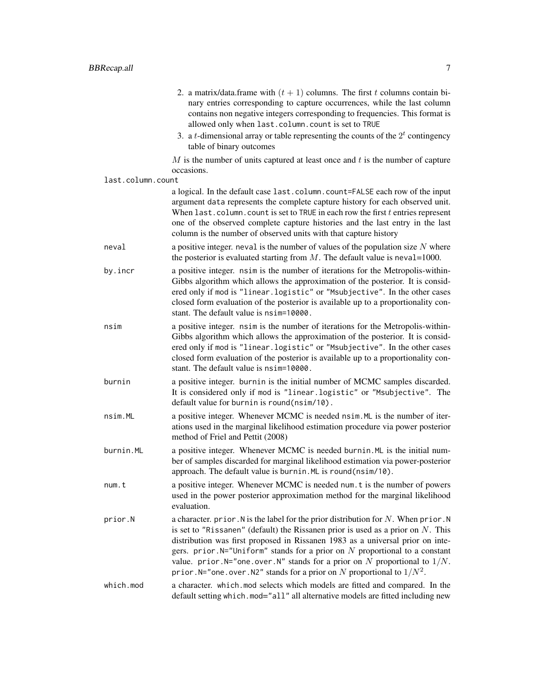- 2. a matrix/data.frame with  $(t + 1)$  columns. The first t columns contain binary entries corresponding to capture occurrences, while the last column contains non negative integers corresponding to frequencies. This format is allowed only when last.column.count is set to TRUE
	- 3. a *t*-dimensional array or table representing the counts of the  $2<sup>t</sup>$  contingency table of binary outcomes

 $M$  is the number of units captured at least once and  $t$  is the number of capture occasions.

#### last.column.count

a logical. In the default case last.column.count=FALSE each row of the input argument data represents the complete capture history for each observed unit. When last.column.count is set to TRUE in each row the first  $t$  entries represent one of the observed complete capture histories and the last entry in the last column is the number of observed units with that capture history

- neval a positive integer. neval is the number of values of the population size  $N$  where the posterior is evaluated starting from  $M$ . The default value is neval=1000.
- by.incr a positive integer. nsim is the number of iterations for the Metropolis-within-Gibbs algorithm which allows the approximation of the posterior. It is considered only if mod is "linear.logistic" or "Msubjective". In the other cases closed form evaluation of the posterior is available up to a proportionality constant. The default value is nsim=10000.
- nsim a positive integer. nsim is the number of iterations for the Metropolis-within-Gibbs algorithm which allows the approximation of the posterior. It is considered only if mod is "linear.logistic" or "Msubjective". In the other cases closed form evaluation of the posterior is available up to a proportionality constant. The default value is nsim=10000.
- burnin a positive integer. burnin is the initial number of MCMC samples discarded. It is considered only if mod is "linear.logistic" or "Msubjective". The default value for burnin is round(nsim/10).
- nsim.ML a positive integer. Whenever MCMC is needed nsim.ML is the number of iterations used in the marginal likelihood estimation procedure via power posterior method of Friel and Pettit (2008)
- burnin.ML a positive integer. Whenever MCMC is needed burnin.ML is the initial number of samples discarded for marginal likelihood estimation via power-posterior approach. The default value is burnin.ML is round(nsim/10).
- num. t a positive integer. Whenever MCMC is needed num. t is the number of powers used in the power posterior approximation method for the marginal likelihood evaluation.
- prior. $N$  a character. prior. N is the label for the prior distribution for N. When prior. N is set to "Rissanen" (default) the Rissanen prior is used as a prior on  $N$ . This distribution was first proposed in Rissanen 1983 as a universal prior on integers. prior.  $N=$ "Uniform" stands for a prior on N proportional to a constant value. prior. N="one.over. N" stands for a prior on N proportional to  $1/N$ . prior. N="one.over.N2" stands for a prior on  $N$  proportional to  $1/N^2$ .
- which.mod a character. which.mod selects which models are fitted and compared. In the default setting which.mod="all" all alternative models are fitted including new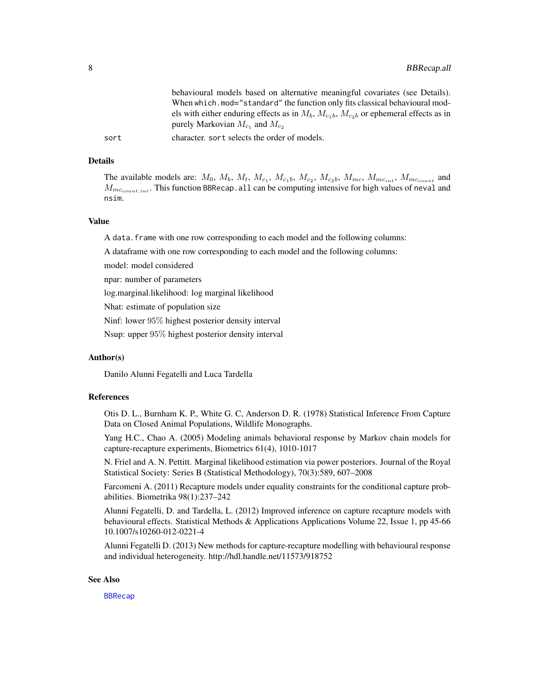<span id="page-7-0"></span>behavioural models based on alternative meaningful covariates (see Details). When which.mod="standard" the function only fits classical behavioural models with either enduring effects as in  $M_b$ ,  $M_{c1b}$ ,  $M_{c2b}$  or ephemeral effects as in purely Markovian  $M_{c_1}$  and  $M_{c_2}$ 

sort character. sort selects the order of models.

#### Details

The available models are:  $M_0$ ,  $M_b$ ,  $M_t$ ,  $M_{c_1}$ ,  $M_{c_1}$ ,  $M_{c_2}$ ,  $M_{c_2}$ ,  $M_{mc}$ ,  $M_{mc_{int}}$ ,  $M_{mc_{count}}$  and  $M_{m_{ccount.int}}$ . This function BBRecap. all can be computing intensive for high values of neval and nsim.

#### Value

A data.frame with one row corresponding to each model and the following columns:

A dataframe with one row corresponding to each model and the following columns:

model: model considered

npar: number of parameters

log.marginal.likelihood: log marginal likelihood

Nhat: estimate of population size

Ninf: lower 95% highest posterior density interval

Nsup: upper 95% highest posterior density interval

#### Author(s)

Danilo Alunni Fegatelli and Luca Tardella

# References

Otis D. L., Burnham K. P., White G. C, Anderson D. R. (1978) Statistical Inference From Capture Data on Closed Animal Populations, Wildlife Monographs.

Yang H.C., Chao A. (2005) Modeling animals behavioral response by Markov chain models for capture-recapture experiments, Biometrics 61(4), 1010-1017

N. Friel and A. N. Pettitt. Marginal likelihood estimation via power posteriors. Journal of the Royal Statistical Society: Series B (Statistical Methodology), 70(3):589, 607–2008

Farcomeni A. (2011) Recapture models under equality constraints for the conditional capture probabilities. Biometrika 98(1):237–242

Alunni Fegatelli, D. and Tardella, L. (2012) Improved inference on capture recapture models with behavioural effects. Statistical Methods & Applications Applications Volume 22, Issue 1, pp 45-66 10.1007/s10260-012-0221-4

Alunni Fegatelli D. (2013) New methods for capture-recapture modelling with behavioural response and individual heterogeneity. http://hdl.handle.net/11573/918752

### See Also

[BBRecap](#page-1-1)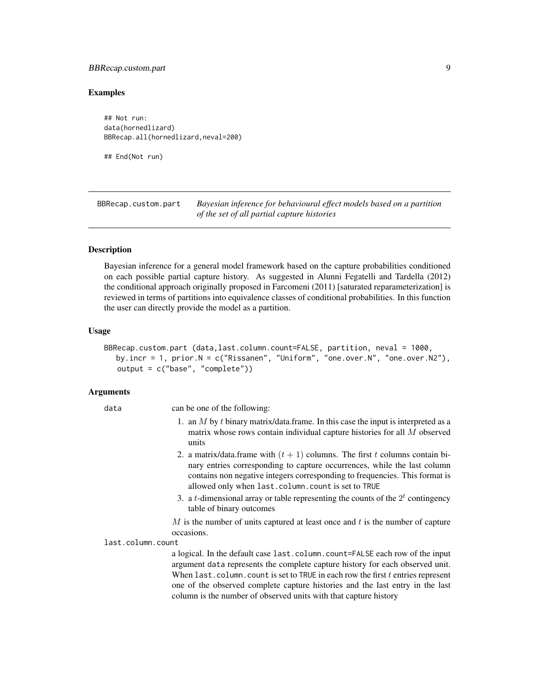# <span id="page-8-0"></span>BBRecap.custom.part 9

# Examples

## Not run: data(hornedlizard) BBRecap.all(hornedlizard,neval=200)

## End(Not run)

<span id="page-8-1"></span>BBRecap.custom.part *Bayesian inference for behavioural effect models based on a partition of the set of all partial capture histories*

# Description

Bayesian inference for a general model framework based on the capture probabilities conditioned on each possible partial capture history. As suggested in Alunni Fegatelli and Tardella (2012) the conditional approach originally proposed in Farcomeni (2011) [saturated reparameterization] is reviewed in terms of partitions into equivalence classes of conditional probabilities. In this function the user can directly provide the model as a partition.

#### Usage

BBRecap.custom.part (data,last.column.count=FALSE, partition, neval = 1000, by.incr = 1, prior.N = c("Rissanen", "Uniform", "one.over.N", "one.over.N2"), output = c("base", "complete"))

# Arguments

data can be one of the following: 1. an  $M$  by  $t$  binary matrix/data.frame. In this case the input is interpreted as a matrix whose rows contain individual capture histories for all M observed units 2. a matrix/data.frame with  $(t + 1)$  columns. The first t columns contain binary entries corresponding to capture occurrences, while the last column contains non negative integers corresponding to frequencies. This format is allowed only when last.column.count is set to TRUE 3. a *t*-dimensional array or table representing the counts of the  $2<sup>t</sup>$  contingency table of binary outcomes  $M$  is the number of units captured at least once and  $t$  is the number of capture occasions. last.column.count a logical. In the default case last.column.count=FALSE each row of the input argument data represents the complete capture history for each observed unit. When last.column.count is set to TRUE in each row the first  $t$  entries represent one of the observed complete capture histories and the last entry in the last column is the number of observed units with that capture history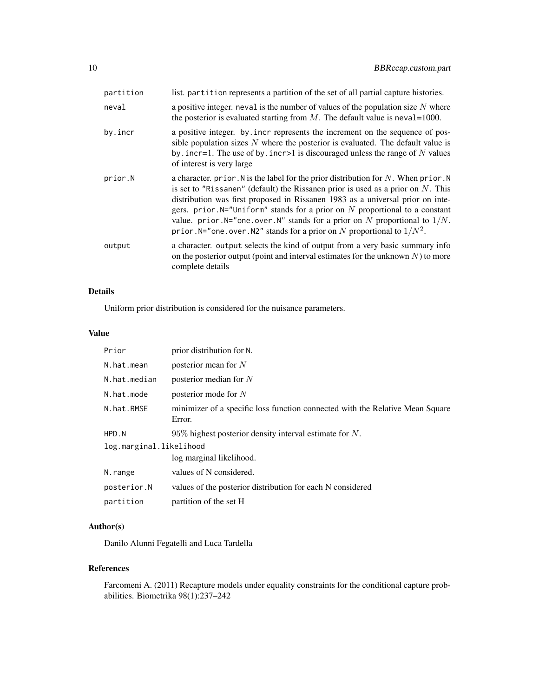| partition | list. partition represents a partition of the set of all partial capture histories.                                                                                                                                                                                                                                                                                                                                                                                                                              |
|-----------|------------------------------------------------------------------------------------------------------------------------------------------------------------------------------------------------------------------------------------------------------------------------------------------------------------------------------------------------------------------------------------------------------------------------------------------------------------------------------------------------------------------|
| neval     | a positive integer, neval is the number of values of the population size $N$ where<br>the posterior is evaluated starting from $M$ . The default value is neval=1000.                                                                                                                                                                                                                                                                                                                                            |
| by.incr   | a positive integer. by incr represents the increment on the sequence of pos-<br>sible population sizes $N$ where the posterior is evaluated. The default value is<br>by . incr=1. The use of by . incr>1 is discouraged unless the range of $N$ values<br>of interest is very large                                                                                                                                                                                                                              |
| prior.N   | a character. prior. N is the label for the prior distribution for N. When prior. N<br>is set to "Rissanen" (default) the Rissanen prior is used as a prior on $N$ . This<br>distribution was first proposed in Rissanen 1983 as a universal prior on inte-<br>gers. prior. $N=$ "Uniform" stands for a prior on N proportional to a constant<br>value. prior. $N =$ "one. over. N" stands for a prior on N proportional to $1/N$ .<br>prior. N="one. over. N2" stands for a prior on N proportional to $1/N^2$ . |
| output    | a character. output selects the kind of output from a very basic summary info<br>on the posterior output (point and interval estimates for the unknown $N$ ) to more<br>complete details                                                                                                                                                                                                                                                                                                                         |

# Details

Uniform prior distribution is considered for the nuisance parameters.

# Value

| Prior                   | prior distribution for N.                                                               |  |
|-------------------------|-----------------------------------------------------------------------------------------|--|
| N.hat.mean              | posterior mean for $N$                                                                  |  |
| N.hat.median            | posterior median for $N$                                                                |  |
| N.hat.mode              | posterior mode for $N$                                                                  |  |
| N.hat.RMSE              | minimizer of a specific loss function connected with the Relative Mean Square<br>Error. |  |
| HPD.N                   | $95\%$ highest posterior density interval estimate for N.                               |  |
| log.marginal.likelihood |                                                                                         |  |
|                         | log marginal likelihood.                                                                |  |
| N.range                 | values of N considered.                                                                 |  |
| posterior.N             | values of the posterior distribution for each N considered                              |  |
| partition               | partition of the set H                                                                  |  |

# Author(s)

Danilo Alunni Fegatelli and Luca Tardella

# References

Farcomeni A. (2011) Recapture models under equality constraints for the conditional capture probabilities. Biometrika 98(1):237–242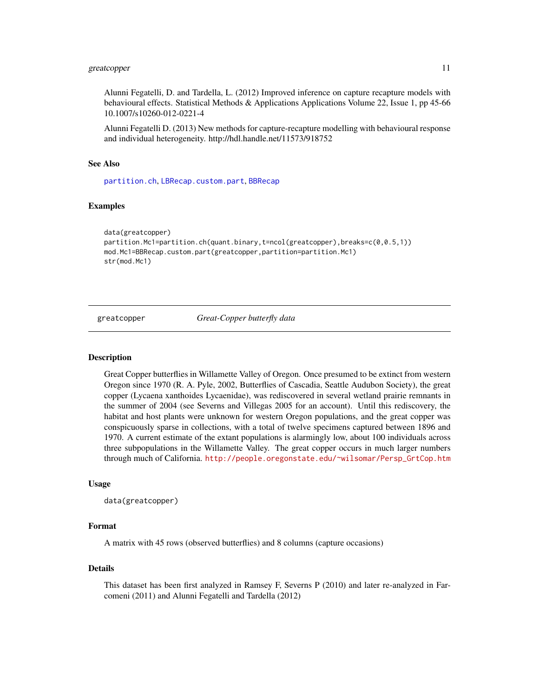# <span id="page-10-0"></span>greatcopper 11

Alunni Fegatelli, D. and Tardella, L. (2012) Improved inference on capture recapture models with behavioural effects. Statistical Methods & Applications Applications Volume 22, Issue 1, pp 45-66 10.1007/s10260-012-0221-4

Alunni Fegatelli D. (2013) New methods for capture-recapture modelling with behavioural response and individual heterogeneity. http://hdl.handle.net/11573/918752

#### See Also

[partition.ch](#page-22-1), [LBRecap.custom.part](#page-18-1), [BBRecap](#page-1-1)

#### Examples

```
data(greatcopper)
partition.Mc1=partition.ch(quant.binary,t=ncol(greatcopper),breaks=c(0,0.5,1))
mod.Mc1=BBRecap.custom.part(greatcopper,partition=partition.Mc1)
str(mod.Mc1)
```
greatcopper *Great-Copper butterfly data*

#### Description

Great Copper butterflies in Willamette Valley of Oregon. Once presumed to be extinct from western Oregon since 1970 (R. A. Pyle, 2002, Butterflies of Cascadia, Seattle Audubon Society), the great copper (Lycaena xanthoides Lycaenidae), was rediscovered in several wetland prairie remnants in the summer of 2004 (see Severns and Villegas 2005 for an account). Until this rediscovery, the habitat and host plants were unknown for western Oregon populations, and the great copper was conspicuously sparse in collections, with a total of twelve specimens captured between 1896 and 1970. A current estimate of the extant populations is alarmingly low, about 100 individuals across three subpopulations in the Willamette Valley. The great copper occurs in much larger numbers through much of California. [http://people.oregonstate.edu/~wilsomar/Persp\\_GrtCop.htm](http://people.oregonstate.edu/~wilsomar/Persp_GrtCop.htm)

# Usage

```
data(greatcopper)
```
# Format

A matrix with 45 rows (observed butterflies) and 8 columns (capture occasions)

### Details

This dataset has been first analyzed in Ramsey F, Severns P (2010) and later re-analyzed in Farcomeni (2011) and Alunni Fegatelli and Tardella (2012)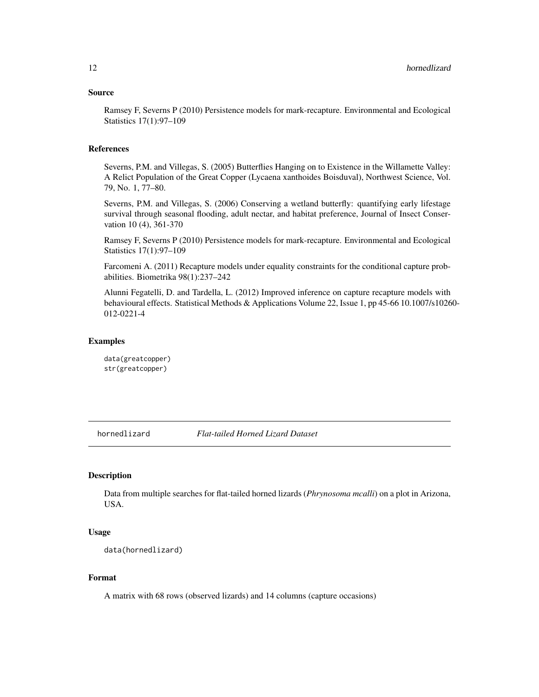#### <span id="page-11-0"></span>Source

Ramsey F, Severns P (2010) Persistence models for mark-recapture. Environmental and Ecological Statistics 17(1):97–109

#### References

Severns, P.M. and Villegas, S. (2005) Butterflies Hanging on to Existence in the Willamette Valley: A Relict Population of the Great Copper (Lycaena xanthoides Boisduval), Northwest Science, Vol. 79, No. 1, 77–80.

Severns, P.M. and Villegas, S. (2006) Conserving a wetland butterfly: quantifying early lifestage survival through seasonal flooding, adult nectar, and habitat preference, Journal of Insect Conservation 10 (4), 361-370

Ramsey F, Severns P (2010) Persistence models for mark-recapture. Environmental and Ecological Statistics 17(1):97–109

Farcomeni A. (2011) Recapture models under equality constraints for the conditional capture probabilities. Biometrika 98(1):237–242

Alunni Fegatelli, D. and Tardella, L. (2012) Improved inference on capture recapture models with behavioural effects. Statistical Methods & Applications Volume 22, Issue 1, pp 45-66 10.1007/s10260- 012-0221-4

# Examples

data(greatcopper) str(greatcopper)

hornedlizard *Flat-tailed Horned Lizard Dataset*

#### **Description**

Data from multiple searches for flat-tailed horned lizards (*Phrynosoma mcalli*) on a plot in Arizona, USA.

# Usage

data(hornedlizard)

#### Format

A matrix with 68 rows (observed lizards) and 14 columns (capture occasions)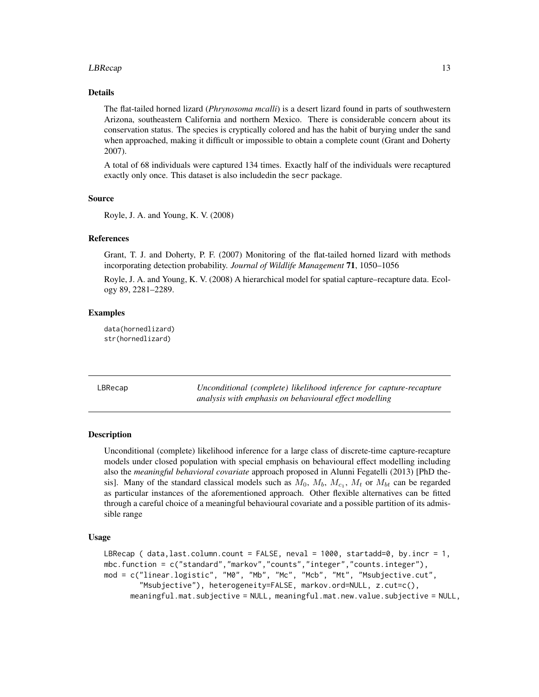#### <span id="page-12-0"></span>LBRecap 23

# Details

The flat-tailed horned lizard (*Phrynosoma mcalli*) is a desert lizard found in parts of southwestern Arizona, southeastern California and northern Mexico. There is considerable concern about its conservation status. The species is cryptically colored and has the habit of burying under the sand when approached, making it difficult or impossible to obtain a complete count (Grant and Doherty 2007).

A total of 68 individuals were captured 134 times. Exactly half of the individuals were recaptured exactly only once. This dataset is also includedin the secr package.

# Source

Royle, J. A. and Young, K. V. (2008)

# References

Grant, T. J. and Doherty, P. F. (2007) Monitoring of the flat-tailed horned lizard with methods incorporating detection probability. *Journal of Wildlife Management* 71, 1050–1056

Royle, J. A. and Young, K. V. (2008) A hierarchical model for spatial capture–recapture data. Ecology 89, 2281–2289.

#### Examples

data(hornedlizard) str(hornedlizard)

<span id="page-12-1"></span>LBRecap *Unconditional (complete) likelihood inference for capture-recapture analysis with emphasis on behavioural effect modelling*

# Description

Unconditional (complete) likelihood inference for a large class of discrete-time capture-recapture models under closed population with special emphasis on behavioural effect modelling including also the *meaningful behavioral covariate* approach proposed in Alunni Fegatelli (2013) [PhD thesis]. Many of the standard classical models such as  $M_0$ ,  $M_b$ ,  $M_{c_1}$ ,  $M_t$  or  $M_{bt}$  can be regarded as particular instances of the aforementioned approach. Other flexible alternatives can be fitted through a careful choice of a meaningful behavioural covariate and a possible partition of its admissible range

# Usage

```
LBRecap ( data, last.colum.count = FALSE, newal = 1000, stratadd=0, by.incr = 1,mbc.function = c("standard","markov","counts","integer","counts.integer"),
mod = c("linear.logistic", "M0", "Mb", "Mc", "Mcb", "Mt", "Msubjective.cut",
        "Msubjective"), heterogeneity=FALSE, markov.ord=NULL, z.cut=c(),
     meaningful.mat.subjective = NULL, meaningful.mat.new.value.subjective = NULL,
```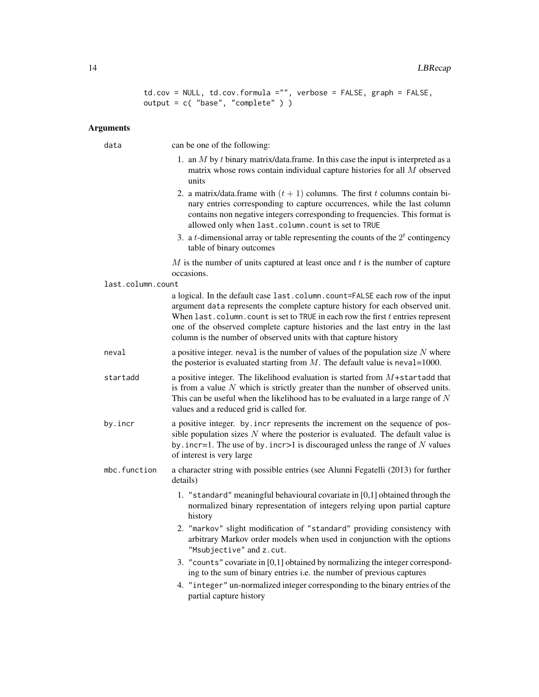```
td.cov = NULL, td.cov.formula ="", verbose = FALSE, graph = FALSE,
output = c( "base", "complete" ) )
```
#### Arguments

data can be one of the following:

- 1. an  $M$  by  $t$  binary matrix/data.frame. In this case the input is interpreted as a matrix whose rows contain individual capture histories for all M observed units
- 2. a matrix/data.frame with  $(t + 1)$  columns. The first t columns contain binary entries corresponding to capture occurrences, while the last column contains non negative integers corresponding to frequencies. This format is allowed only when last.column.count is set to TRUE
- 3. a *t*-dimensional array or table representing the counts of the  $2<sup>t</sup>$  contingency table of binary outcomes

 $M$  is the number of units captured at least once and  $t$  is the number of capture occasions.

last.column.count

a logical. In the default case last.column.count=FALSE each row of the input argument data represents the complete capture history for each observed unit. When last.column.count is set to TRUE in each row the first  $t$  entries represent one of the observed complete capture histories and the last entry in the last column is the number of observed units with that capture history

- neval a positive integer. neval is the number of values of the population size  $N$  where the posterior is evaluated starting from  $M$ . The default value is neval=1000.
- startadd a positive integer. The likelihood evaluation is started from  $M +$ startadd that is from a value  $N$  which is strictly greater than the number of observed units. This can be useful when the likelihood has to be evaluated in a large range of  $N$ values and a reduced grid is called for.
- by.incr a positive integer. by.incr represents the increment on the sequence of possible population sizes  $N$  where the posterior is evaluated. The default value is by. incr=1. The use of by. incr>1 is discouraged unless the range of  $N$  values of interest is very large
- mbc.function a character string with possible entries (see Alunni Fegatelli (2013) for further details)
	- 1. "standard" meaningful behavioural covariate in [0,1] obtained through the normalized binary representation of integers relying upon partial capture history
	- 2. "markov" slight modification of "standard" providing consistency with arbitrary Markov order models when used in conjunction with the options "Msubjective" and z.cut.
	- 3. "counts" covariate in [0,1] obtained by normalizing the integer corresponding to the sum of binary entries i.e. the number of previous captures
	- 4. "integer" un-normalized integer corresponding to the binary entries of the partial capture history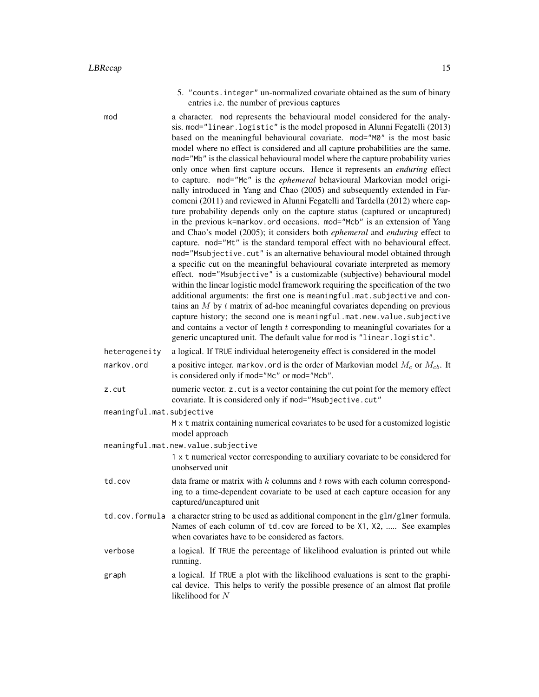5. "counts.integer" un-normalized covariate obtained as the sum of binary entries i.e. the number of previous captures

mod a character. mod represents the behavioural model considered for the analysis. mod="linear.logistic" is the model proposed in Alunni Fegatelli (2013) based on the meaningful behavioural covariate. mod="M0" is the most basic model where no effect is considered and all capture probabilities are the same. mod="Mb" is the classical behavioural model where the capture probability varies only once when first capture occurs. Hence it represents an *enduring* effect to capture. mod="Mc" is the *ephemeral* behavioural Markovian model originally introduced in Yang and Chao (2005) and subsequently extended in Farcomeni (2011) and reviewed in Alunni Fegatelli and Tardella (2012) where capture probability depends only on the capture status (captured or uncaptured) in the previous k=markov.ord occasions. mod="Mcb" is an extension of Yang and Chao's model (2005); it considers both *ephemeral* and *enduring* effect to capture. mod="Mt" is the standard temporal effect with no behavioural effect. mod="Msubjective.cut" is an alternative behavioural model obtained through a specific cut on the meaningful behavioural covariate interpreted as memory effect. mod="Msubjective" is a customizable (subjective) behavioural model within the linear logistic model framework requiring the specification of the two additional arguments: the first one is meaningful.mat.subjective and contains an M by t matrix of ad-hoc meaningful covariates depending on previous capture history; the second one is meaningful.mat.new.value.subjective and contains a vector of length t corresponding to meaningful covariates for a generic uncaptured unit. The default value for mod is "linear.logistic".

- heterogeneity a logical. If TRUE individual heterogeneity effect is considered in the model
- markov.ord a positive integer. markov.ord is the order of Markovian model  $M_c$  or  $M_{cb}$ . It is considered only if mod="Mc" or mod="Mcb".
- z.cut numeric vector. z.cut is a vector containing the cut point for the memory effect covariate. It is considered only if mod="Msubjective.cut"
- meaningful.mat.subjective

M x t matrix containing numerical covariates to be used for a customized logistic model approach

meaningful.mat.new.value.subjective

1 x t numerical vector corresponding to auxiliary covariate to be considered for unobserved unit

- td.cov data frame or matrix with  $k$  columns and  $t$  rows with each column corresponding to a time-dependent covariate to be used at each capture occasion for any captured/uncaptured unit
- td.cov.formula a character string to be used as additional component in the glm/glmer formula. Names of each column of td.cov are forced to be X1, X2, ..... See examples when covariates have to be considered as factors.
- verbose a logical. If TRUE the percentage of likelihood evaluation is printed out while running.
- graph a logical. If TRUE a plot with the likelihood evaluations is sent to the graphical device. This helps to verify the possible presence of an almost flat profile likelihood for N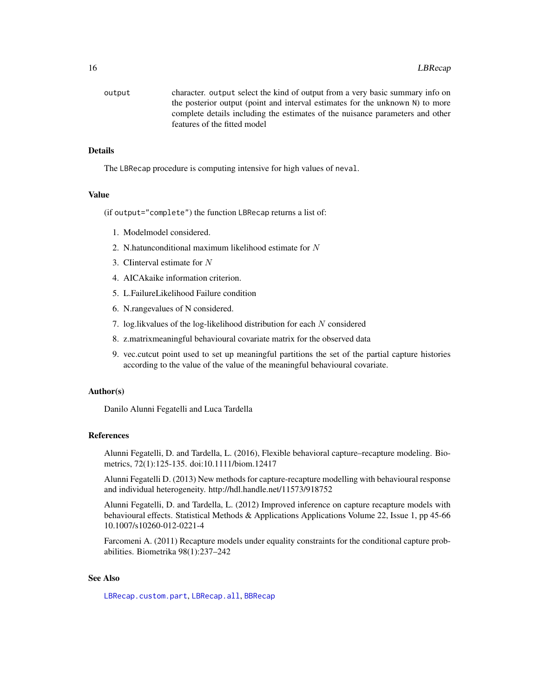<span id="page-15-0"></span>

| output | character. output select the kind of output from a very basic summary info on |
|--------|-------------------------------------------------------------------------------|
|        | the posterior output (point and interval estimates for the unknown N) to more |
|        | complete details including the estimates of the nuisance parameters and other |
|        | features of the fitted model                                                  |

# Details

The LBRecap procedure is computing intensive for high values of neval.

#### Value

(if output="complete") the function LBRecap returns a list of:

- 1. Modelmodel considered.
- 2. N.hatunconditional maximum likelihood estimate for N
- 3. CIinterval estimate for N
- 4. AICAkaike information criterion.
- 5. L.FailureLikelihood Failure condition
- 6. N.rangevalues of N considered.
- 7. log.likvalues of the log-likelihood distribution for each N considered
- 8. z.matrixmeaningful behavioural covariate matrix for the observed data
- 9. vec.cutcut point used to set up meaningful partitions the set of the partial capture histories according to the value of the value of the meaningful behavioural covariate.

# Author(s)

Danilo Alunni Fegatelli and Luca Tardella

# References

Alunni Fegatelli, D. and Tardella, L. (2016), Flexible behavioral capture–recapture modeling. Biometrics, 72(1):125-135. doi:10.1111/biom.12417

Alunni Fegatelli D. (2013) New methods for capture-recapture modelling with behavioural response and individual heterogeneity. http://hdl.handle.net/11573/918752

Alunni Fegatelli, D. and Tardella, L. (2012) Improved inference on capture recapture models with behavioural effects. Statistical Methods & Applications Applications Volume 22, Issue 1, pp 45-66 10.1007/s10260-012-0221-4

Farcomeni A. (2011) Recapture models under equality constraints for the conditional capture probabilities. Biometrika 98(1):237–242

#### See Also

[LBRecap.custom.part](#page-18-1), [LBRecap.all](#page-16-1), [BBRecap](#page-1-1)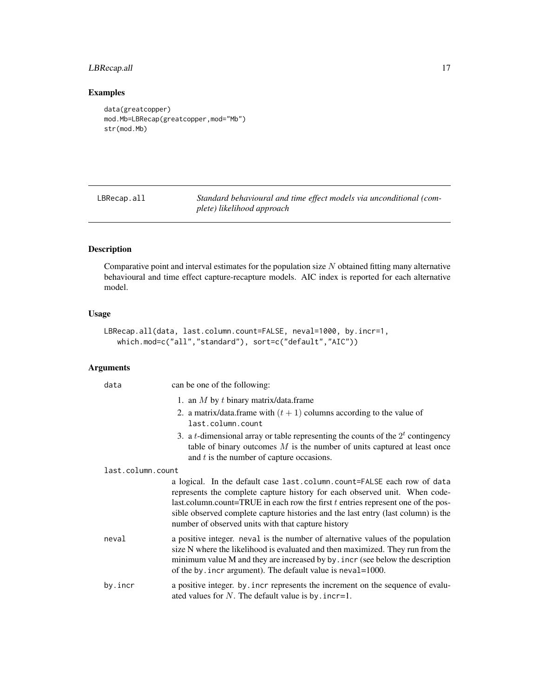# <span id="page-16-0"></span>LBRecap.all 17

# Examples

```
data(greatcopper)
mod.Mb=LBRecap(greatcopper,mod="Mb")
str(mod.Mb)
```
<span id="page-16-1"></span>LBRecap.all *Standard behavioural and time effect models via unconditional (complete) likelihood approach*

# Description

Comparative point and interval estimates for the population size  $N$  obtained fitting many alternative behavioural and time effect capture-recapture models. AIC index is reported for each alternative model.

# Usage

```
LBRecap.all(data, last.column.count=FALSE, neval=1000, by.incr=1,
   which.mod=c("all","standard"), sort=c("default","AIC"))
```
# Arguments

| data              | can be one of the following:                                                                                                                                                                                                                                                                                                                                                           |
|-------------------|----------------------------------------------------------------------------------------------------------------------------------------------------------------------------------------------------------------------------------------------------------------------------------------------------------------------------------------------------------------------------------------|
|                   | 1. an $M$ by $t$ binary matrix/data.frame                                                                                                                                                                                                                                                                                                                                              |
|                   | 2. a matrix/data.frame with $(t + 1)$ columns according to the value of<br>last.column.count                                                                                                                                                                                                                                                                                           |
|                   | 3. a <i>t</i> -dimensional array or table representing the counts of the $2t$ contingency<br>table of binary outcomes $M$ is the number of units captured at least once<br>and $t$ is the number of capture occasions.                                                                                                                                                                 |
| last.column.count |                                                                                                                                                                                                                                                                                                                                                                                        |
|                   | a logical. In the default case last.column.count=FALSE each row of data<br>represents the complete capture history for each observed unit. When code-<br>last.column.count=TRUE in each row the first $t$ entries represent one of the pos-<br>sible observed complete capture histories and the last entry (last column) is the<br>number of observed units with that capture history |
| neval             | a positive integer. neval is the number of alternative values of the population<br>size N where the likelihood is evaluated and then maximized. They run from the<br>minimum value M and they are increased by by . incr (see below the description<br>of the by incr argument). The default value is neval=1000.                                                                      |
| by.incr           | a positive integer. by incr represents the increment on the sequence of evalu-<br>ated values for N. The default value is by . incr=1.                                                                                                                                                                                                                                                 |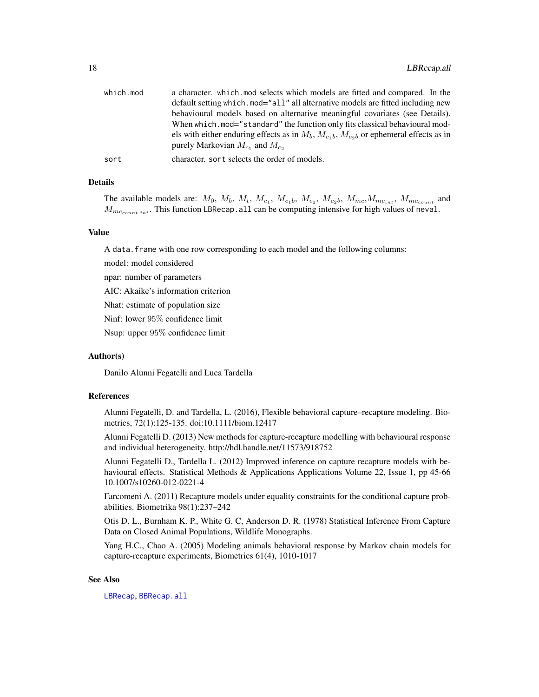<span id="page-17-0"></span>

| which.mod | a character, which mod selects which models are fitted and compared. In the<br>default setting which mode "all" all alternative models are fitted including new<br>behavioural models based on alternative meaningful covariates (see Details).<br>When which, mod="standard" the function only fits classical behavioural mod-<br>els with either enduring effects as in $M_b$ , $M_{c_1b}$ , $M_{c_2b}$ or ephemeral effects as in |
|-----------|--------------------------------------------------------------------------------------------------------------------------------------------------------------------------------------------------------------------------------------------------------------------------------------------------------------------------------------------------------------------------------------------------------------------------------------|
|           | purely Markovian $M_{c_1}$ and $M_{c_2}$                                                                                                                                                                                                                                                                                                                                                                                             |
| sort      | character, sort selects the order of models.                                                                                                                                                                                                                                                                                                                                                                                         |

# Details

The available models are:  $M_0$ ,  $M_b$ ,  $M_t$ ,  $M_{c_1}$ ,  $M_{c_1}$ ,  $M_{c_2}$ ,  $M_{c_2}$ ,  $M_{mc}$ ,  $M_{mc_{int}}$ ,  $M_{mc_{count}}$  and  $M_{mc_{count-int}}$ . This function LBRecap.all can be computing intensive for high values of neval.

# Value

A data. frame with one row corresponding to each model and the following columns:

model: model considered

npar: number of parameters

AIC: Akaike's information criterion

Nhat: estimate of population size

Ninf: lower 95% confidence limit

Nsup: upper 95% confidence limit

#### Author(s)

Danilo Alunni Fegatelli and Luca Tardella

# References

Alunni Fegatelli, D. and Tardella, L. (2016), Flexible behavioral capture–recapture modeling. Biometrics, 72(1):125-135. doi:10.1111/biom.12417

Alunni Fegatelli D. (2013) New methods for capture-recapture modelling with behavioural response and individual heterogeneity. http://hdl.handle.net/11573/918752

Alunni Fegatelli D., Tardella L. (2012) Improved inference on capture recapture models with behavioural effects. Statistical Methods & Applications Applications Volume 22, Issue 1, pp 45-66 10.1007/s10260-012-0221-4

Farcomeni A. (2011) Recapture models under equality constraints for the conditional capture probabilities. Biometrika 98(1):237–242

Otis D. L., Burnham K. P., White G. C, Anderson D. R. (1978) Statistical Inference From Capture Data on Closed Animal Populations, Wildlife Monographs.

Yang H.C., Chao A. (2005) Modeling animals behavioral response by Markov chain models for capture-recapture experiments, Biometrics 61(4), 1010-1017

# See Also

[LBRecap](#page-12-1), [BBRecap.all](#page-5-1)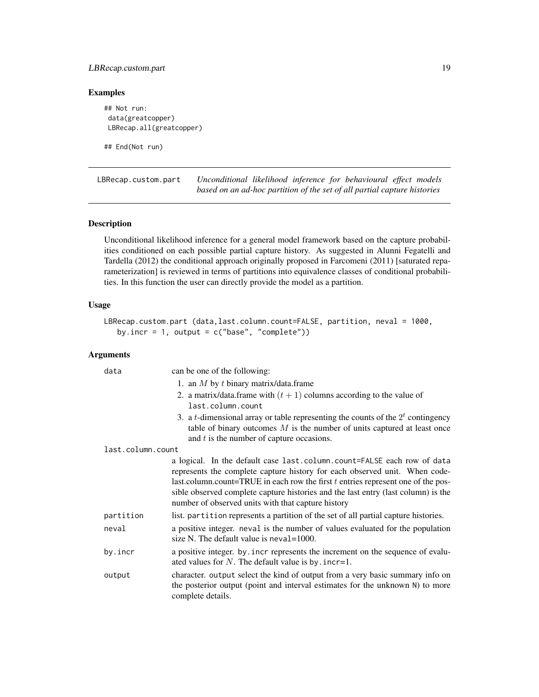# <span id="page-18-0"></span>LBRecap.custom.part 19

# Examples

```
## Not run:
data(greatcopper)
LBRecap.all(greatcopper)
```
## End(Not run)

<span id="page-18-1"></span>LBRecap.custom.part *Unconditional likelihood inference for behavioural effect models based on an ad-hoc partition of the set of all partial capture histories*

# Description

Unconditional likelihood inference for a general model framework based on the capture probabilities conditioned on each possible partial capture history. As suggested in Alunni Fegatelli and Tardella (2012) the conditional approach originally proposed in Farcomeni (2011) [saturated reparameterization] is reviewed in terms of partitions into equivalence classes of conditional probabilities. In this function the user can directly provide the model as a partition.

# Usage

```
LBRecap.custom.part (data,last.column.count=FALSE, partition, neval = 1000,
  by.incr = 1, output = c("base", "complete")
```
# Arguments

| data              | can be one of the following:                                                                                                                                                                                                                                                                                                                                                           |
|-------------------|----------------------------------------------------------------------------------------------------------------------------------------------------------------------------------------------------------------------------------------------------------------------------------------------------------------------------------------------------------------------------------------|
|                   | 1. an $M$ by $t$ binary matrix/data.frame                                                                                                                                                                                                                                                                                                                                              |
|                   | 2. a matrix/data.frame with $(t + 1)$ columns according to the value of<br>last.column.count                                                                                                                                                                                                                                                                                           |
|                   | 3. a <i>t</i> -dimensional array or table representing the counts of the $2t$ contingency<br>table of binary outcomes $M$ is the number of units captured at least once<br>and $t$ is the number of capture occasions.                                                                                                                                                                 |
| last.column.count |                                                                                                                                                                                                                                                                                                                                                                                        |
|                   | a logical. In the default case last.column.count=FALSE each row of data<br>represents the complete capture history for each observed unit. When code-<br>last.column.count=TRUE in each row the first $t$ entries represent one of the pos-<br>sible observed complete capture histories and the last entry (last column) is the<br>number of observed units with that capture history |
| partition         | list. partition represents a partition of the set of all partial capture histories.                                                                                                                                                                                                                                                                                                    |
| neval             | a positive integer. neval is the number of values evaluated for the population<br>size N. The default value is neval=1000.                                                                                                                                                                                                                                                             |
| by.incr           | a positive integer. by incr represents the increment on the sequence of evalu-<br>ated values for $N$ . The default value is by . incr=1.                                                                                                                                                                                                                                              |
| output            | character. output select the kind of output from a very basic summary info on<br>the posterior output (point and interval estimates for the unknown N) to more<br>complete details.                                                                                                                                                                                                    |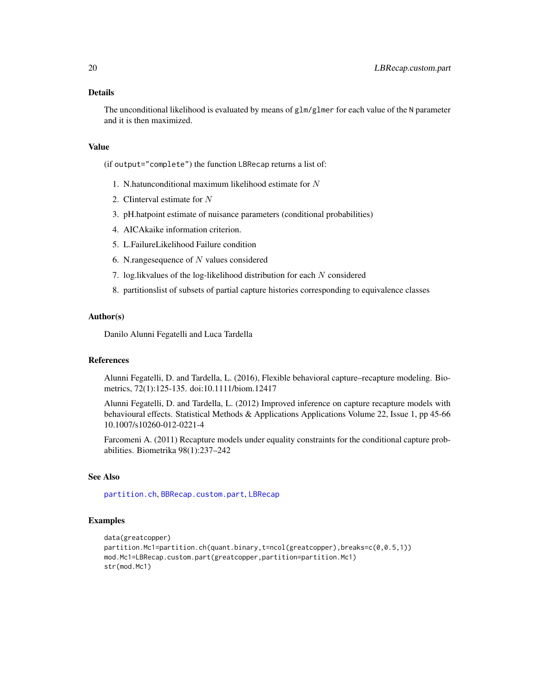# <span id="page-19-0"></span>Details

The unconditional likelihood is evaluated by means of  $glm/glm$ er for each value of the N parameter and it is then maximized.

# Value

(if output="complete") the function LBRecap returns a list of:

- 1. N.hatunconditional maximum likelihood estimate for  $N$
- 2. CIinterval estimate for N
- 3. pH.hatpoint estimate of nuisance parameters (conditional probabilities)
- 4. AICAkaike information criterion.
- 5. L.FailureLikelihood Failure condition
- 6. N.rangesequence of N values considered
- 7. log.likvalues of the log-likelihood distribution for each N considered
- 8. partitionslist of subsets of partial capture histories corresponding to equivalence classes

#### Author(s)

Danilo Alunni Fegatelli and Luca Tardella

# References

Alunni Fegatelli, D. and Tardella, L. (2016), Flexible behavioral capture–recapture modeling. Biometrics, 72(1):125-135. doi:10.1111/biom.12417

Alunni Fegatelli, D. and Tardella, L. (2012) Improved inference on capture recapture models with behavioural effects. Statistical Methods & Applications Applications Volume 22, Issue 1, pp 45-66 10.1007/s10260-012-0221-4

Farcomeni A. (2011) Recapture models under equality constraints for the conditional capture probabilities. Biometrika 98(1):237–242

# See Also

[partition.ch](#page-22-1), [BBRecap.custom.part](#page-8-1), [LBRecap](#page-12-1)

# Examples

```
data(greatcopper)
partition.Mc1=partition.ch(quant.binary,t=ncol(greatcopper),breaks=c(0,0.5,1))
mod.Mc1=LBRecap.custom.part(greatcopper,partition=partition.Mc1)
str(mod.Mc1)
```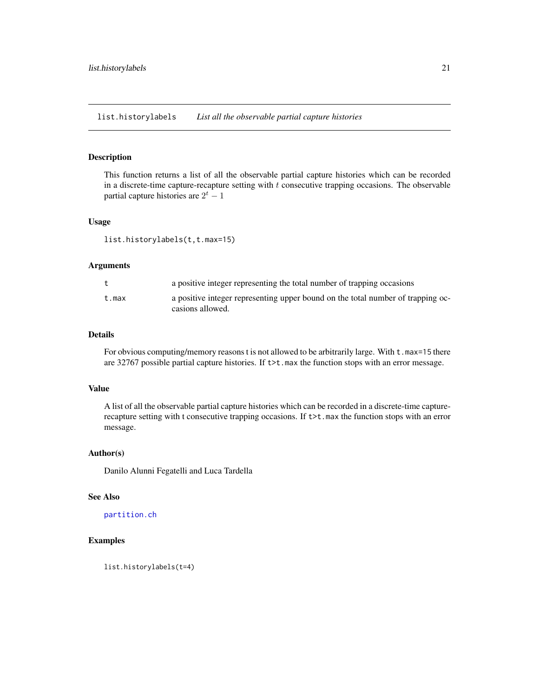<span id="page-20-0"></span>list.historylabels *List all the observable partial capture histories*

#### Description

This function returns a list of all the observable partial capture histories which can be recorded in a discrete-time capture-recapture setting with  $t$  consecutive trapping occasions. The observable partial capture histories are  $2^t - 1$ 

# Usage

list.historylabels(t,t.max=15)

# Arguments

|       | a positive integer representing the total number of trapping occasions                              |
|-------|-----------------------------------------------------------------------------------------------------|
| t.max | a positive integer representing upper bound on the total number of trapping oc-<br>casions allowed. |

# Details

For obvious computing/memory reasons t is not allowed to be arbitrarily large. With  $t$  . max=15 there are 32767 possible partial capture histories. If  $\text{t>t}$ . max the function stops with an error message.

# Value

A list of all the observable partial capture histories which can be recorded in a discrete-time capturerecapture setting with t consecutive trapping occasions. If  $\tau$ t.max the function stops with an error message.

# Author(s)

Danilo Alunni Fegatelli and Luca Tardella

#### See Also

[partition.ch](#page-22-1)

# Examples

list.historylabels(t=4)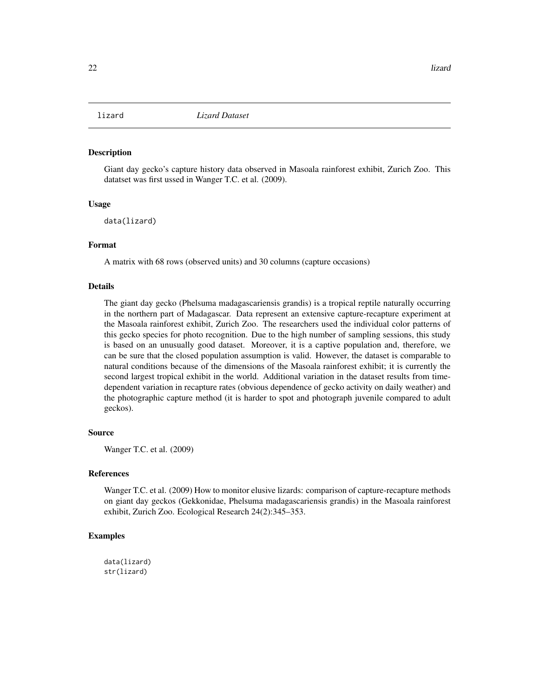<span id="page-21-0"></span>

#### Description

Giant day gecko's capture history data observed in Masoala rainforest exhibit, Zurich Zoo. This datatset was first ussed in Wanger T.C. et al. (2009).

#### Usage

data(lizard)

# Format

A matrix with 68 rows (observed units) and 30 columns (capture occasions)

# Details

The giant day gecko (Phelsuma madagascariensis grandis) is a tropical reptile naturally occurring in the northern part of Madagascar. Data represent an extensive capture-recapture experiment at the Masoala rainforest exhibit, Zurich Zoo. The researchers used the individual color patterns of this gecko species for photo recognition. Due to the high number of sampling sessions, this study is based on an unusually good dataset. Moreover, it is a captive population and, therefore, we can be sure that the closed population assumption is valid. However, the dataset is comparable to natural conditions because of the dimensions of the Masoala rainforest exhibit; it is currently the second largest tropical exhibit in the world. Additional variation in the dataset results from timedependent variation in recapture rates (obvious dependence of gecko activity on daily weather) and the photographic capture method (it is harder to spot and photograph juvenile compared to adult geckos).

# Source

Wanger T.C. et al. (2009)

#### References

Wanger T.C. et al. (2009) How to monitor elusive lizards: comparison of capture-recapture methods on giant day geckos (Gekkonidae, Phelsuma madagascariensis grandis) in the Masoala rainforest exhibit, Zurich Zoo. Ecological Research 24(2):345–353.

# Examples

data(lizard) str(lizard)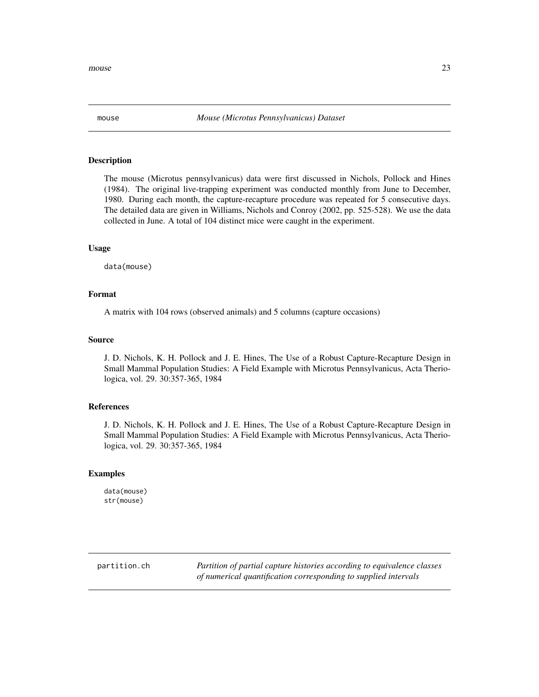# <span id="page-22-0"></span>Description

The mouse (Microtus pennsylvanicus) data were first discussed in Nichols, Pollock and Hines (1984). The original live-trapping experiment was conducted monthly from June to December, 1980. During each month, the capture-recapture procedure was repeated for 5 consecutive days. The detailed data are given in Williams, Nichols and Conroy (2002, pp. 525-528). We use the data collected in June. A total of 104 distinct mice were caught in the experiment.

#### Usage

data(mouse)

# Format

A matrix with 104 rows (observed animals) and 5 columns (capture occasions)

# Source

J. D. Nichols, K. H. Pollock and J. E. Hines, The Use of a Robust Capture-Recapture Design in Small Mammal Population Studies: A Field Example with Microtus Pennsylvanicus, Acta Theriologica, vol. 29. 30:357-365, 1984

# References

J. D. Nichols, K. H. Pollock and J. E. Hines, The Use of a Robust Capture-Recapture Design in Small Mammal Population Studies: A Field Example with Microtus Pennsylvanicus, Acta Theriologica, vol. 29. 30:357-365, 1984

#### Examples

data(mouse) str(mouse)

<span id="page-22-1"></span>partition.ch *Partition of partial capture histories according to equivalence classes of numerical quantification corresponding to supplied intervals*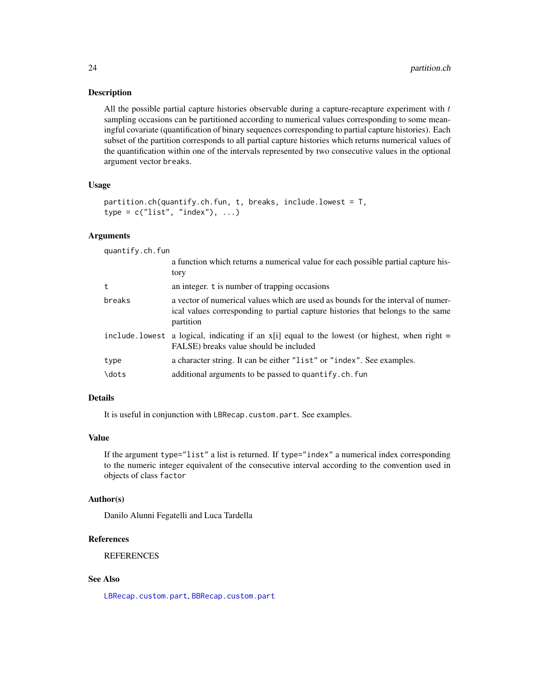# <span id="page-23-0"></span>Description

All the possible partial capture histories observable during a capture-recapture experiment with  $t$ sampling occasions can be partitioned according to numerical values corresponding to some meaningful covariate (quantification of binary sequences corresponding to partial capture histories). Each subset of the partition corresponds to all partial capture histories which returns numerical values of the quantification within one of the intervals represented by two consecutive values in the optional argument vector breaks.

#### Usage

```
partition.ch(quantify.ch.fun, t, breaks, include.lowest = T,
type = c("list", "index"), ...)
```
# Arguments

quantify.ch.fun

|        | a function which returns a numerical value for each possible partial capture his-<br>tory                                                                                        |
|--------|----------------------------------------------------------------------------------------------------------------------------------------------------------------------------------|
| t      | an integer. t is number of trapping occasions                                                                                                                                    |
| breaks | a vector of numerical values which are used as bounds for the interval of numer-<br>ical values corresponding to partial capture histories that belongs to the same<br>partition |
|        | include lowest a logical, indicating if an $x[i]$ equal to the lowest (or highest, when right =<br>FALSE) breaks value should be included                                        |
| type   | a character string. It can be either "list" or "index". See examples.                                                                                                            |
| \dots  | additional arguments to be passed to quantify.ch.fun                                                                                                                             |

# Details

It is useful in conjunction with LBRecap.custom.part. See examples.

# Value

If the argument type="list" a list is returned. If type="index" a numerical index corresponding to the numeric integer equivalent of the consecutive interval according to the convention used in objects of class factor

#### Author(s)

Danilo Alunni Fegatelli and Luca Tardella

# References

**REFERENCES** 

# See Also

[LBRecap.custom.part](#page-18-1), [BBRecap.custom.part](#page-8-1)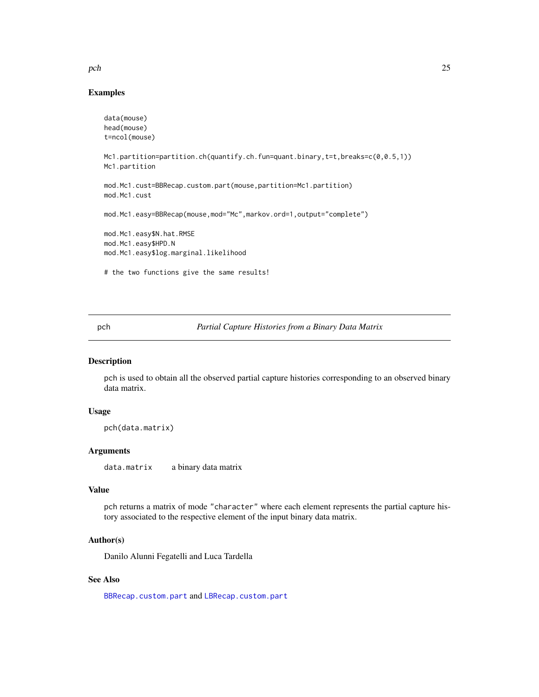### <span id="page-24-0"></span> $pch$  25

# Examples

```
data(mouse)
head(mouse)
t=ncol(mouse)
Mc1.partition=partition.ch(quantify.ch.fun=quant.binary,t=t,breaks=c(0,0.5,1))
Mc1.partition
mod.Mc1.cust=BBRecap.custom.part(mouse,partition=Mc1.partition)
mod.Mc1.cust
mod.Mc1.easy=BBRecap(mouse,mod="Mc",markov.ord=1,output="complete")
mod.Mc1.easy$N.hat.RMSE
mod.Mc1.easy$HPD.N
mod.Mc1.easy$log.marginal.likelihood
# the two functions give the same results!
```
pch *Partial Capture Histories from a Binary Data Matrix*

# Description

pch is used to obtain all the observed partial capture histories corresponding to an observed binary data matrix.

# Usage

```
pch(data.matrix)
```
# Arguments

data.matrix a binary data matrix

# Value

pch returns a matrix of mode "character" where each element represents the partial capture history associated to the respective element of the input binary data matrix.

# Author(s)

Danilo Alunni Fegatelli and Luca Tardella

# See Also

[BBRecap.custom.part](#page-8-1) and [LBRecap.custom.part](#page-18-1)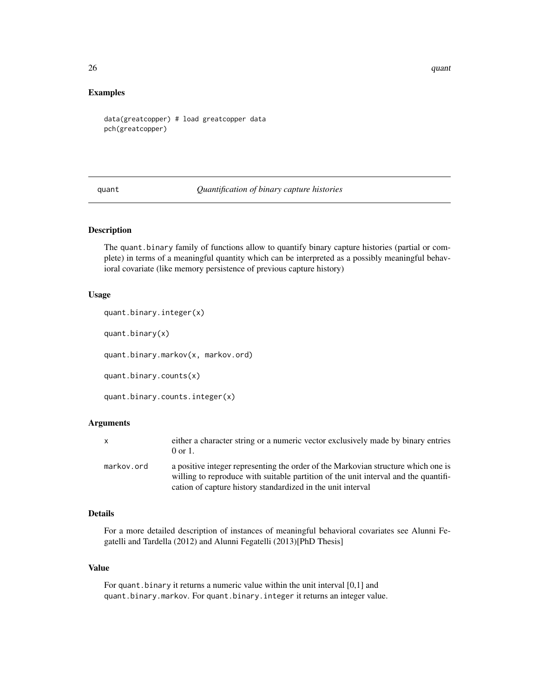$26$  quant

#### Examples

```
data(greatcopper) # load greatcopper data
pch(greatcopper)
```
quant *Quantification of binary capture histories*

# Description

The quant.binary family of functions allow to quantify binary capture histories (partial or complete) in terms of a meaningful quantity which can be interpreted as a possibly meaningful behavioral covariate (like memory persistence of previous capture history)

#### Usage

quant.binary.integer(x)

quant.binary(x)

quant.binary.markov(x, markov.ord)

quant.binary.counts(x)

quant.binary.counts.integer(x)

#### Arguments

| $\mathsf{x}$ | either a character string or a numeric vector exclusively made by binary entries<br>$0 \text{ or } 1$ .                                                                  |
|--------------|--------------------------------------------------------------------------------------------------------------------------------------------------------------------------|
| markov.ord   | a positive integer representing the order of the Markovian structure which one is<br>willing to reproduce with suitable partition of the unit interval and the quantifi- |
|              | cation of capture history standardized in the unit interval                                                                                                              |

# Details

For a more detailed description of instances of meaningful behavioral covariates see Alunni Fegatelli and Tardella (2012) and Alunni Fegatelli (2013)[PhD Thesis]

# Value

For quant.binary it returns a numeric value within the unit interval [0,1] and quant.binary.markov. For quant.binary.integer it returns an integer value.

<span id="page-25-0"></span>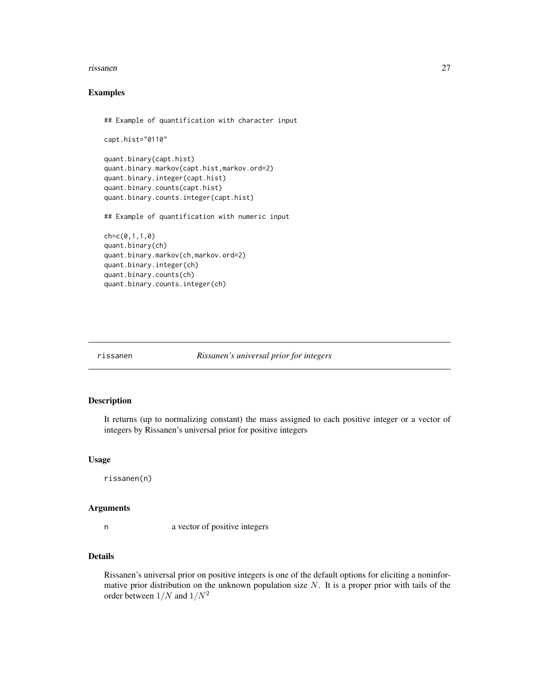#### <span id="page-26-0"></span>rissanen 27

# Examples

```
## Example of quantification with character input
```

```
capt.hist="0110"
quant.binary(capt.hist)
quant.binary.markov(capt.hist,markov.ord=2)
quant.binary.integer(capt.hist)
quant.binary.counts(capt.hist)
quant.binary.counts.integer(capt.hist)
## Example of quantification with numeric input
```

```
ch=c(0,1,1,0)
quant.binary(ch)
quant.binary.markov(ch,markov.ord=2)
quant.binary.integer(ch)
quant.binary.counts(ch)
quant.binary.counts.integer(ch)
```
rissanen *Rissanen's universal prior for integers*

# Description

It returns (up to normalizing constant) the mass assigned to each positive integer or a vector of integers by Rissanen's universal prior for positive integers

#### Usage

rissanen(n)

#### Arguments

n a vector of positive integers

# Details

Rissanen's universal prior on positive integers is one of the default options for eliciting a noninformative prior distribution on the unknown population size  $N$ . It is a proper prior with tails of the order between  $1/N$  and  $1/N^2$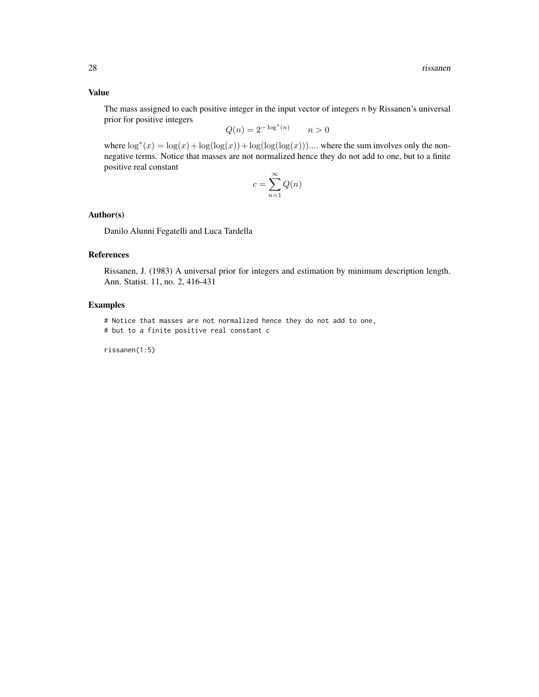The mass assigned to each positive integer in the input vector of integers n by Rissanen's universal prior for positive integers

$$
Q(n) = 2^{-\log^*(n)} \qquad n > 0
$$

where  $\log^*(x) = \log(x) + \log(\log(x)) + \log(\log(\log(x)))$ .... where the sum involves only the nonnegative terms. Notice that masses are not normalized hence they do not add to one, but to a finite positive real constant

$$
c=\sum_{n=1}^\infty Q(n)
$$

# Author(s)

Danilo Alunni Fegatelli and Luca Tardella

# References

Rissanen, J. (1983) A universal prior for integers and estimation by minimum description length. Ann. Statist. 11, no. 2, 416-431

# Examples

```
# Notice that masses are not normalized hence they do not add to one,
```
# but to a finite positive real constant c

rissanen(1:5)